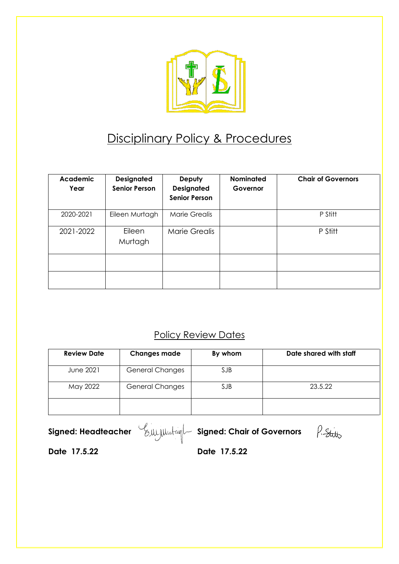

# Disciplinary Policy & Procedures

| <b>Academic</b><br>Year | <b>Designated</b><br><b>Senior Person</b> | Deputy<br><b>Designated</b><br><b>Senior Person</b> | <b>Nominated</b><br>Governor | <b>Chair of Governors</b> |
|-------------------------|-------------------------------------------|-----------------------------------------------------|------------------------------|---------------------------|
| 2020-2021               | Eileen Murtagh                            | Marie Grealis                                       |                              | P Stitt                   |
| 2021-2022               | Eileen<br>Murtagh                         | Marie Grealis                                       |                              | P Stitt                   |
|                         |                                           |                                                     |                              |                           |
|                         |                                           |                                                     |                              |                           |

# **Policy Review Dates**

| <b>Review Date</b> | <b>Changes made</b>    | By whom    | Date shared with staff |
|--------------------|------------------------|------------|------------------------|
| <b>June 2021</b>   | <b>General Changes</b> | <b>SJB</b> |                        |
| May 2022           | <b>General Changes</b> | <b>SJB</b> | 23.5.22                |
|                    |                        |            |                        |

**Signed: Headteacher** Eller Chair of Governors

P. Stitts

**Date 17.5.22 Date 17.5.22**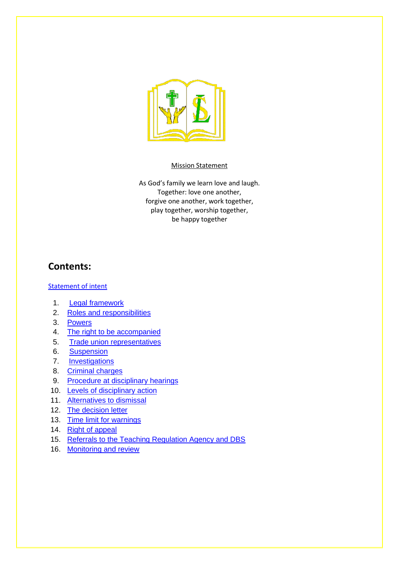

#### Mission Statement

As God's family we learn love and laugh. Together: love one another, forgive one another, work together, play together, worship together, be happy together

### **Contents:**

#### [Statement of intent](#page-2-0)

- 1. [Legal framework](#page-3-0)
- 2. [Roles and responsibilities](#page-3-1)
- 3. [Powers](#page-4-0)
- 4. [The right to be accompanied](#page-5-0)
- 5. [Trade union representatives](#page-5-1)
- 6. [Suspension](#page-5-2)
- 7. **[Investigations](#page-6-0)**
- 8. [Criminal charges](#page-7-0)
- 9. [Procedure at disciplinary hearings](#page-7-1)
- 10. [Levels of disciplinary action](#page-7-2)
- 11. [Alternatives to dismissal](#page-8-0)
- 12. [The decision letter](#page-8-1)
- 13. [Time limit for warnings](#page-9-0)
- 14. [Right of appeal](#page-9-1)
- 15. [Referrals to the Teaching Regulation Agency and DBS](#page-10-0)
- 16. [Monitoring and review](#page-10-1)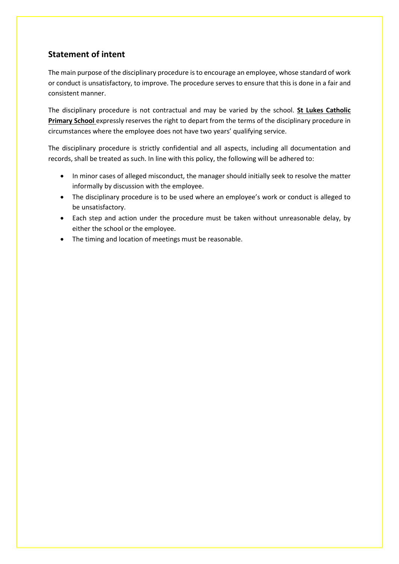#### <span id="page-2-0"></span>**Statement of intent**

The main purpose of the disciplinary procedure is to encourage an employee, whose standard of work or conduct is unsatisfactory, to improve. The procedure serves to ensure that this is done in a fair and consistent manner.

The disciplinary procedure is not contractual and may be varied by the school. **St Lukes Catholic Primary School** expressly reserves the right to depart from the terms of the disciplinary procedure in circumstances where the employee does not have two years' qualifying service.

The disciplinary procedure is strictly confidential and all aspects, including all documentation and records, shall be treated as such. In line with this policy, the following will be adhered to:

- In minor cases of alleged misconduct, the manager should initially seek to resolve the matter informally by discussion with the employee.
- The disciplinary procedure is to be used where an employee's work or conduct is alleged to be unsatisfactory.
- Each step and action under the procedure must be taken without unreasonable delay, by either the school or the employee.
- The timing and location of meetings must be reasonable.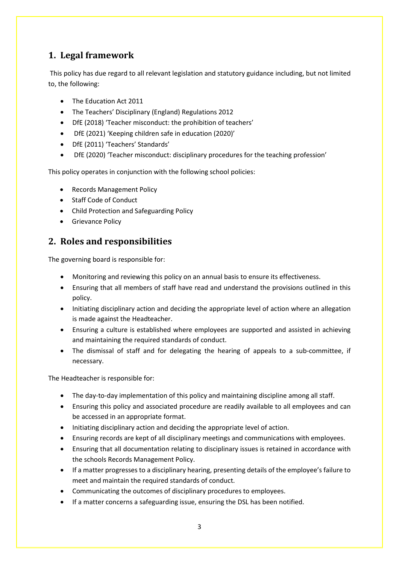# <span id="page-3-0"></span>**1. Legal framework**

This policy has due regard to all relevant legislation and statutory guidance including, but not limited to, the following:

- The Education Act 2011
- The Teachers' Disciplinary (England) Regulations 2012
- DfE (2018) 'Teacher misconduct: the prohibition of teachers'
- DfE (2021) 'Keeping children safe in education (2020)'
- DfE (2011) 'Teachers' Standards'
- DfE (2020) 'Teacher misconduct: disciplinary procedures for the teaching profession'

This policy operates in conjunction with the following school policies:

- Records Management Policy
- Staff Code of Conduct
- Child Protection and Safeguarding Policy
- Grievance Policy

### <span id="page-3-1"></span>**2. Roles and responsibilities**

The governing board is responsible for:

- Monitoring and reviewing this policy on an annual basis to ensure its effectiveness.
- Ensuring that all members of staff have read and understand the provisions outlined in this policy.
- Initiating disciplinary action and deciding the appropriate level of action where an allegation is made against the Headteacher.
- Ensuring a culture is established where employees are supported and assisted in achieving and maintaining the required standards of conduct.
- The dismissal of staff and for delegating the hearing of appeals to a sub-committee, if necessary.

The Headteacher is responsible for:

- The day-to-day implementation of this policy and maintaining discipline among all staff.
- Ensuring this policy and associated procedure are readily available to all employees and can be accessed in an appropriate format.
- Initiating disciplinary action and deciding the appropriate level of action.
- Ensuring records are kept of all disciplinary meetings and communications with employees.
- Ensuring that all documentation relating to disciplinary issues is retained in accordance with the schools Records Management Policy.
- If a matter progresses to a disciplinary hearing, presenting details of the employee's failure to meet and maintain the required standards of conduct.
- Communicating the outcomes of disciplinary procedures to employees.
- If a matter concerns a safeguarding issue, ensuring the DSL has been notified.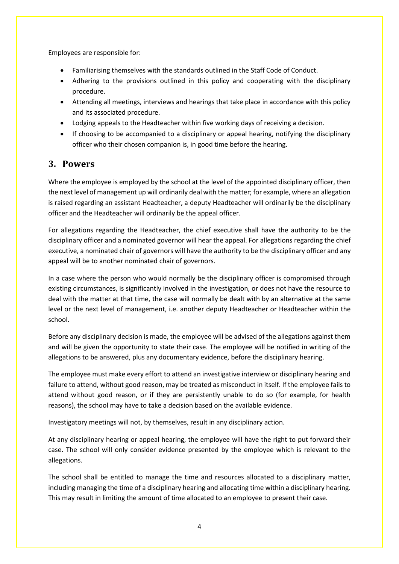Employees are responsible for:

- Familiarising themselves with the standards outlined in the Staff Code of Conduct.
- Adhering to the provisions outlined in this policy and cooperating with the disciplinary procedure.
- Attending all meetings, interviews and hearings that take place in accordance with this policy and its associated procedure.
- Lodging appeals to the Headteacher within five working days of receiving a decision.
- If choosing to be accompanied to a disciplinary or appeal hearing, notifying the disciplinary officer who their chosen companion is, in good time before the hearing.

#### <span id="page-4-0"></span>**3. Powers**

Where the employee is employed by the school at the level of the appointed disciplinary officer, then the next level of management up will ordinarily deal with the matter; for example, where an allegation is raised regarding an assistant Headteacher, a deputy Headteacher will ordinarily be the disciplinary officer and the Headteacher will ordinarily be the appeal officer.

For allegations regarding the Headteacher, the chief executive shall have the authority to be the disciplinary officer and a nominated governor will hear the appeal. For allegations regarding the chief executive, a nominated chair of governors will have the authority to be the disciplinary officer and any appeal will be to another nominated chair of governors.

In a case where the person who would normally be the disciplinary officer is compromised through existing circumstances, is significantly involved in the investigation, or does not have the resource to deal with the matter at that time, the case will normally be dealt with by an alternative at the same level or the next level of management, i.e. another deputy Headteacher or Headteacher within the school.

Before any disciplinary decision is made, the employee will be advised of the allegations against them and will be given the opportunity to state their case. The employee will be notified in writing of the allegations to be answered, plus any documentary evidence, before the disciplinary hearing.

The employee must make every effort to attend an investigative interview or disciplinary hearing and failure to attend, without good reason, may be treated as misconduct in itself. If the employee fails to attend without good reason, or if they are persistently unable to do so (for example, for health reasons), the school may have to take a decision based on the available evidence.

Investigatory meetings will not, by themselves, result in any disciplinary action.

At any disciplinary hearing or appeal hearing, the employee will have the right to put forward their case. The school will only consider evidence presented by the employee which is relevant to the allegations.

The school shall be entitled to manage the time and resources allocated to a disciplinary matter, including managing the time of a disciplinary hearing and allocating time within a disciplinary hearing. This may result in limiting the amount of time allocated to an employee to present their case.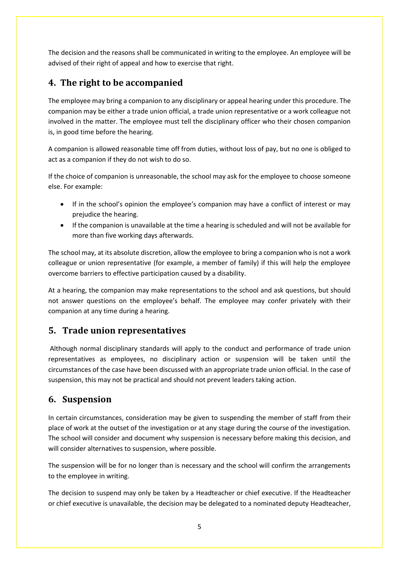The decision and the reasons shall be communicated in writing to the employee. An employee will be advised of their right of appeal and how to exercise that right.

# <span id="page-5-0"></span>**4. The right to be accompanied**

The employee may bring a companion to any disciplinary or appeal hearing under this procedure. The companion may be either a trade union official, a trade union representative or a work colleague not involved in the matter. The employee must tell the disciplinary officer who their chosen companion is, in good time before the hearing.

A companion is allowed reasonable time off from duties, without loss of pay, but no one is obliged to act as a companion if they do not wish to do so.

If the choice of companion is unreasonable, the school may ask for the employee to choose someone else. For example:

- If in the school's opinion the employee's companion may have a conflict of interest or may prejudice the hearing.
- If the companion is unavailable at the time a hearing is scheduled and will not be available for more than five working days afterwards.

The school may, at its absolute discretion, allow the employee to bring a companion who is not a work colleague or union representative (for example, a member of family) if this will help the employee overcome barriers to effective participation caused by a disability.

At a hearing, the companion may make representations to the school and ask questions, but should not answer questions on the employee's behalf. The employee may confer privately with their companion at any time during a hearing.

#### <span id="page-5-1"></span>**5. Trade union representatives**

Although normal disciplinary standards will apply to the conduct and performance of trade union representatives as employees, no disciplinary action or suspension will be taken until the circumstances of the case have been discussed with an appropriate trade union official. In the case of suspension, this may not be practical and should not prevent leaders taking action.

# <span id="page-5-2"></span>**6. Suspension**

In certain circumstances, consideration may be given to suspending the member of staff from their place of work at the outset of the investigation or at any stage during the course of the investigation. The school will consider and document why suspension is necessary before making this decision, and will consider alternatives to suspension, where possible.

The suspension will be for no longer than is necessary and the school will confirm the arrangements to the employee in writing.

The decision to suspend may only be taken by a Headteacher or chief executive. If the Headteacher or chief executive is unavailable, the decision may be delegated to a nominated deputy Headteacher,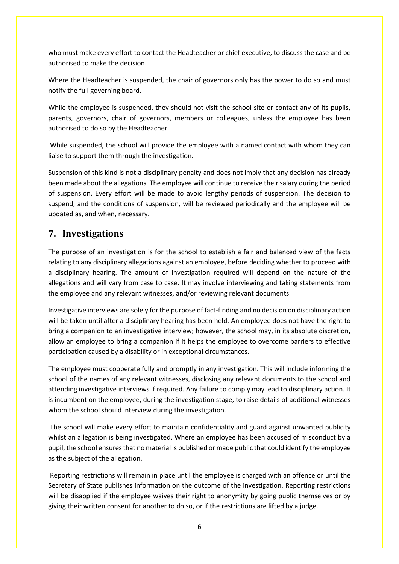who must make every effort to contact the Headteacher or chief executive, to discuss the case and be authorised to make the decision.

Where the Headteacher is suspended, the chair of governors only has the power to do so and must notify the full governing board.

While the employee is suspended, they should not visit the school site or contact any of its pupils, parents, governors, chair of governors, members or colleagues, unless the employee has been authorised to do so by the Headteacher.

While suspended, the school will provide the employee with a named contact with whom they can liaise to support them through the investigation.

Suspension of this kind is not a disciplinary penalty and does not imply that any decision has already been made about the allegations. The employee will continue to receive their salary during the period of suspension. Every effort will be made to avoid lengthy periods of suspension. The decision to suspend, and the conditions of suspension, will be reviewed periodically and the employee will be updated as, and when, necessary.

# <span id="page-6-0"></span>**7. Investigations**

The purpose of an investigation is for the school to establish a fair and balanced view of the facts relating to any disciplinary allegations against an employee, before deciding whether to proceed with a disciplinary hearing. The amount of investigation required will depend on the nature of the allegations and will vary from case to case. It may involve interviewing and taking statements from the employee and any relevant witnesses, and/or reviewing relevant documents.

Investigative interviews are solely for the purpose of fact-finding and no decision on disciplinary action will be taken until after a disciplinary hearing has been held. An employee does not have the right to bring a companion to an investigative interview; however, the school may, in its absolute discretion, allow an employee to bring a companion if it helps the employee to overcome barriers to effective participation caused by a disability or in exceptional circumstances.

The employee must cooperate fully and promptly in any investigation. This will include informing the school of the names of any relevant witnesses, disclosing any relevant documents to the school and attending investigative interviews if required. Any failure to comply may lead to disciplinary action. It is incumbent on the employee, during the investigation stage, to raise details of additional witnesses whom the school should interview during the investigation.

The school will make every effort to maintain confidentiality and guard against unwanted publicity whilst an allegation is being investigated. Where an employee has been accused of misconduct by a pupil, the school ensures that no material is published or made public that could identify the employee as the subject of the allegation.

Reporting restrictions will remain in place until the employee is charged with an offence or until the Secretary of State publishes information on the outcome of the investigation. Reporting restrictions will be disapplied if the employee waives their right to anonymity by going public themselves or by giving their written consent for another to do so, or if the restrictions are lifted by a judge.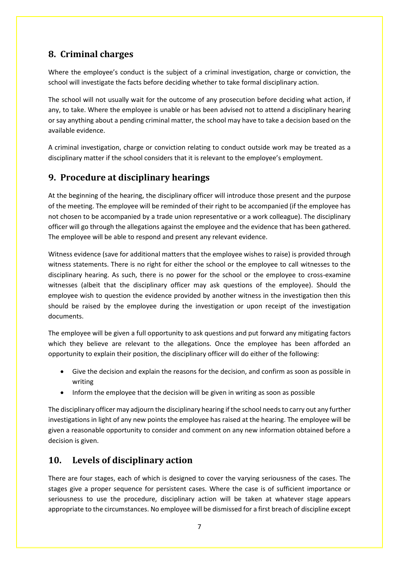# <span id="page-7-0"></span>**8. Criminal charges**

Where the employee's conduct is the subject of a criminal investigation, charge or conviction, the school will investigate the facts before deciding whether to take formal disciplinary action.

The school will not usually wait for the outcome of any prosecution before deciding what action, if any, to take. Where the employee is unable or has been advised not to attend a disciplinary hearing or say anything about a pending criminal matter, the school may have to take a decision based on the available evidence.

A criminal investigation, charge or conviction relating to conduct outside work may be treated as a disciplinary matter if the school considers that it is relevant to the employee's employment.

# <span id="page-7-1"></span>**9. Procedure at disciplinary hearings**

At the beginning of the hearing, the disciplinary officer will introduce those present and the purpose of the meeting. The employee will be reminded of their right to be accompanied (if the employee has not chosen to be accompanied by a trade union representative or a work colleague). The disciplinary officer will go through the allegations against the employee and the evidence that has been gathered. The employee will be able to respond and present any relevant evidence.

Witness evidence (save for additional matters that the employee wishes to raise) is provided through witness statements. There is no right for either the school or the employee to call witnesses to the disciplinary hearing. As such, there is no power for the school or the employee to cross-examine witnesses (albeit that the disciplinary officer may ask questions of the employee). Should the employee wish to question the evidence provided by another witness in the investigation then this should be raised by the employee during the investigation or upon receipt of the investigation documents.

The employee will be given a full opportunity to ask questions and put forward any mitigating factors which they believe are relevant to the allegations. Once the employee has been afforded an opportunity to explain their position, the disciplinary officer will do either of the following:

- Give the decision and explain the reasons for the decision, and confirm as soon as possible in writing
- Inform the employee that the decision will be given in writing as soon as possible

The disciplinary officer may adjourn the disciplinary hearing if the school needs to carry out any further investigations in light of any new points the employee has raised at the hearing. The employee will be given a reasonable opportunity to consider and comment on any new information obtained before a decision is given.

#### <span id="page-7-2"></span>**10. Levels of disciplinary action**

There are four stages, each of which is designed to cover the varying seriousness of the cases. The stages give a proper sequence for persistent cases. Where the case is of sufficient importance or seriousness to use the procedure, disciplinary action will be taken at whatever stage appears appropriate to the circumstances. No employee will be dismissed for a first breach of discipline except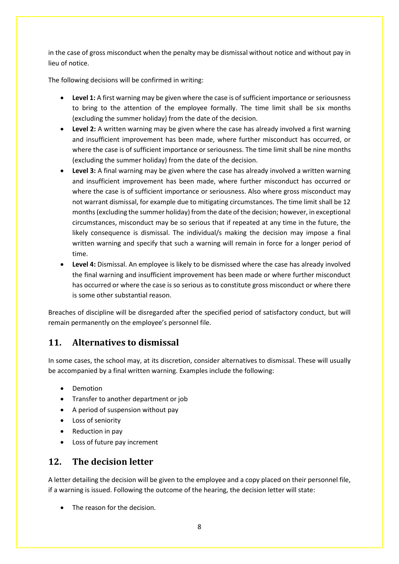in the case of gross misconduct when the penalty may be dismissal without notice and without pay in lieu of notice.

The following decisions will be confirmed in writing:

- **Level 1:** A first warning may be given where the case is of sufficient importance or seriousness to bring to the attention of the employee formally. The time limit shall be six months (excluding the summer holiday) from the date of the decision.
- **Level 2:** A written warning may be given where the case has already involved a first warning and insufficient improvement has been made, where further misconduct has occurred, or where the case is of sufficient importance or seriousness. The time limit shall be nine months (excluding the summer holiday) from the date of the decision.
- **Level 3:** A final warning may be given where the case has already involved a written warning and insufficient improvement has been made, where further misconduct has occurred or where the case is of sufficient importance or seriousness. Also where gross misconduct may not warrant dismissal, for example due to mitigating circumstances. The time limit shall be 12 months (excluding the summer holiday) from the date of the decision; however, in exceptional circumstances, misconduct may be so serious that if repeated at any time in the future, the likely consequence is dismissal. The individual/s making the decision may impose a final written warning and specify that such a warning will remain in force for a longer period of time.
- **Level 4:** Dismissal. An employee is likely to be dismissed where the case has already involved the final warning and insufficient improvement has been made or where further misconduct has occurred or where the case is so serious as to constitute gross misconduct or where there is some other substantial reason.

Breaches of discipline will be disregarded after the specified period of satisfactory conduct, but will remain permanently on the employee's personnel file.

# <span id="page-8-0"></span>**11. Alternatives to dismissal**

In some cases, the school may, at its discretion, consider alternatives to dismissal. These will usually be accompanied by a final written warning. Examples include the following:

- Demotion
- Transfer to another department or job
- A period of suspension without pay
- Loss of seniority
- Reduction in pay
- Loss of future pay increment

#### <span id="page-8-1"></span>**12. The decision letter**

A letter detailing the decision will be given to the employee and a copy placed on their personnel file, if a warning is issued. Following the outcome of the hearing, the decision letter will state:

The reason for the decision.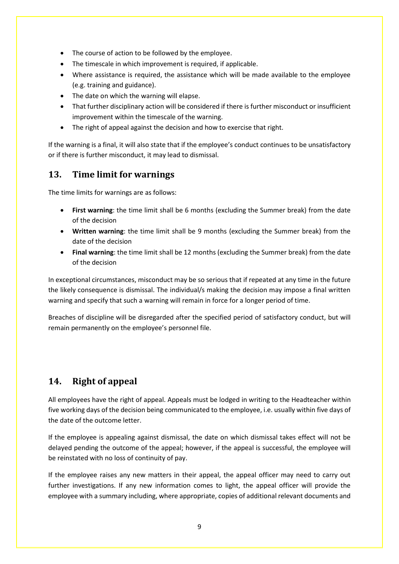- The course of action to be followed by the employee.
- The timescale in which improvement is required, if applicable.
- Where assistance is required, the assistance which will be made available to the employee (e.g. training and guidance).
- The date on which the warning will elapse.
- That further disciplinary action will be considered if there is further misconduct or insufficient improvement within the timescale of the warning.
- The right of appeal against the decision and how to exercise that right.

If the warning is a final, it will also state that if the employee's conduct continues to be unsatisfactory or if there is further misconduct, it may lead to dismissal.

#### <span id="page-9-0"></span>**13. Time limit for warnings**

The time limits for warnings are as follows:

- **First warning**: the time limit shall be 6 months (excluding the Summer break) from the date of the decision
- **Written warning**: the time limit shall be 9 months (excluding the Summer break) from the date of the decision
- **Final warning**: the time limit shall be 12 months (excluding the Summer break) from the date of the decision

In exceptional circumstances, misconduct may be so serious that if repeated at any time in the future the likely consequence is dismissal. The individual/s making the decision may impose a final written warning and specify that such a warning will remain in force for a longer period of time.

Breaches of discipline will be disregarded after the specified period of satisfactory conduct, but will remain permanently on the employee's personnel file.

# <span id="page-9-1"></span>**14. Right of appeal**

All employees have the right of appeal. Appeals must be lodged in writing to the Headteacher within five working days of the decision being communicated to the employee, i.e. usually within five days of the date of the outcome letter.

If the employee is appealing against dismissal, the date on which dismissal takes effect will not be delayed pending the outcome of the appeal; however, if the appeal is successful, the employee will be reinstated with no loss of continuity of pay.

If the employee raises any new matters in their appeal, the appeal officer may need to carry out further investigations. If any new information comes to light, the appeal officer will provide the employee with a summary including, where appropriate, copies of additional relevant documents and